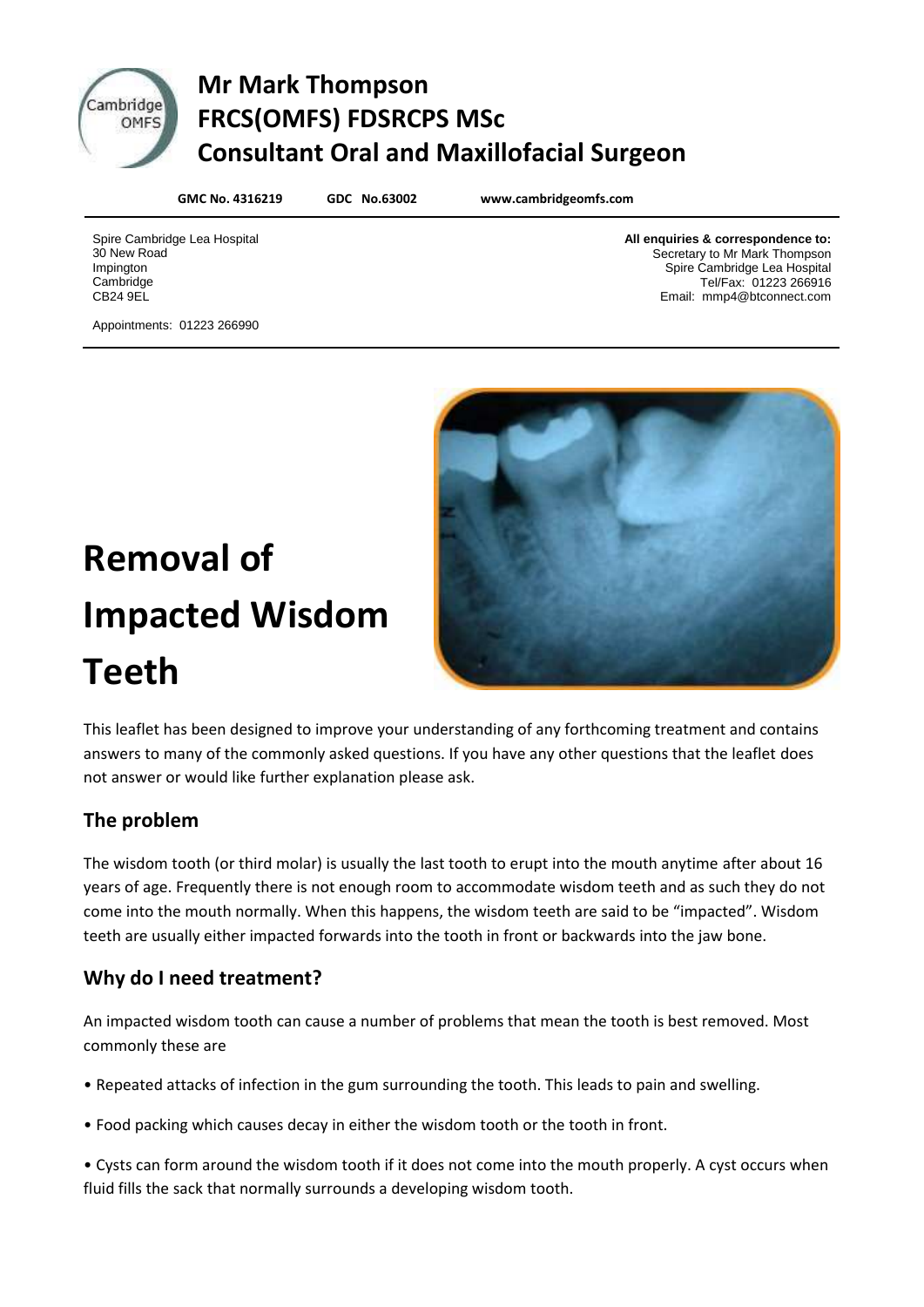

# **Cambridge Mr Mark Thompson DITIONED FRCS(OMFS) FDSRCPS MSc Consultant Oral and Maxillofacial Surgeon**

**GMC No. 4316219 GDC No.63002 www.cambridgeomfs.com**

Spire Cambridge Lea Hospital 30 New Road Impington **Cambridge** CB24 9EL

**All enquiries & correspondence to:** Secretary to Mr Mark Thompson Spire Cambridge Lea Hospital Tel/Fax: 01223 266916 Email: mmp4@btconnect.com

Appointments: 01223 266990



# **Removal of Impacted Wisdom Teeth**

This leaflet has been designed to improve your understanding of any forthcoming treatment and contains answers to many of the commonly asked questions. If you have any other questions that the leaflet does not answer or would like further explanation please ask.

# **The problem**

The wisdom tooth (or third molar) is usually the last tooth to erupt into the mouth anytime after about 16 years of age. Frequently there is not enough room to accommodate wisdom teeth and as such they do not come into the mouth normally. When this happens, the wisdom teeth are said to be "impacted". Wisdom teeth are usually either impacted forwards into the tooth in front or backwards into the jaw bone.

# **Why do I need treatment?**

An impacted wisdom tooth can cause a number of problems that mean the tooth is best removed. Most commonly these are

- Repeated attacks of infection in the gum surrounding the tooth. This leads to pain and swelling.
- Food packing which causes decay in either the wisdom tooth or the tooth in front.

• Cysts can form around the wisdom tooth if it does not come into the mouth properly. A cyst occurs when fluid fills the sack that normally surrounds a developing wisdom tooth.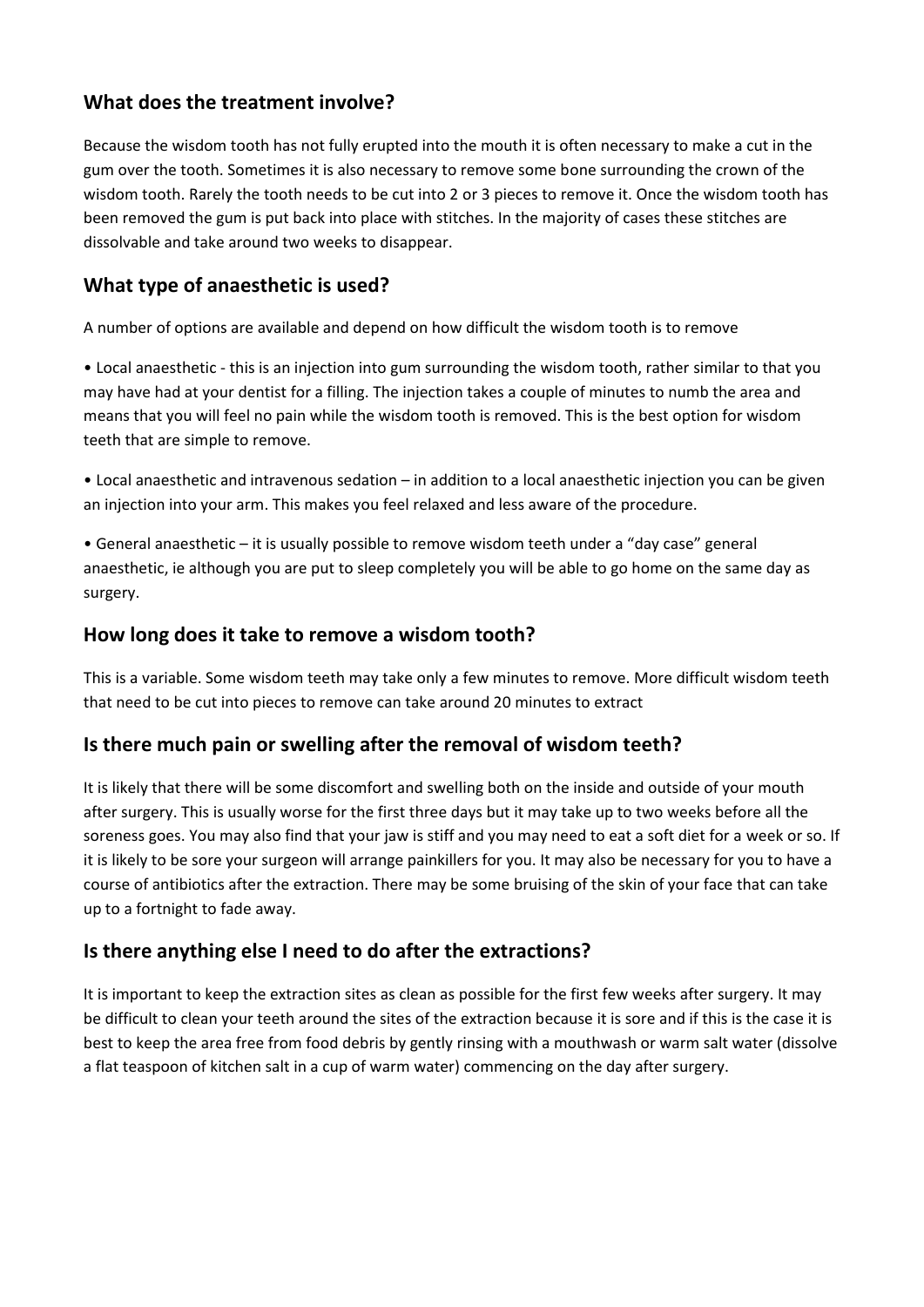#### **What does the treatment involve?**

Because the wisdom tooth has not fully erupted into the mouth it is often necessary to make a cut in the gum over the tooth. Sometimes it is also necessary to remove some bone surrounding the crown of the wisdom tooth. Rarely the tooth needs to be cut into 2 or 3 pieces to remove it. Once the wisdom tooth has been removed the gum is put back into place with stitches. In the majority of cases these stitches are dissolvable and take around two weeks to disappear.

### **What type of anaesthetic is used?**

A number of options are available and depend on how difficult the wisdom tooth is to remove

• Local anaesthetic - this is an injection into gum surrounding the wisdom tooth, rather similar to that you may have had at your dentist for a filling. The injection takes a couple of minutes to numb the area and means that you will feel no pain while the wisdom tooth is removed. This is the best option for wisdom teeth that are simple to remove.

• Local anaesthetic and intravenous sedation – in addition to a local anaesthetic injection you can be given an injection into your arm. This makes you feel relaxed and less aware of the procedure.

• General anaesthetic – it is usually possible to remove wisdom teeth under a "day case" general anaesthetic, ie although you are put to sleep completely you will be able to go home on the same day as surgery.

#### **How long does it take to remove a wisdom tooth?**

This is a variable. Some wisdom teeth may take only a few minutes to remove. More difficult wisdom teeth that need to be cut into pieces to remove can take around 20 minutes to extract

#### **Is there much pain or swelling after the removal of wisdom teeth?**

It is likely that there will be some discomfort and swelling both on the inside and outside of your mouth after surgery. This is usually worse for the first three days but it may take up to two weeks before all the soreness goes. You may also find that your jaw is stiff and you may need to eat a soft diet for a week or so. If it is likely to be sore your surgeon will arrange painkillers for you. It may also be necessary for you to have a course of antibiotics after the extraction. There may be some bruising of the skin of your face that can take up to a fortnight to fade away.

#### **Is there anything else I need to do after the extractions?**

It is important to keep the extraction sites as clean as possible for the first few weeks after surgery. It may be difficult to clean your teeth around the sites of the extraction because it is sore and if this is the case it is best to keep the area free from food debris by gently rinsing with a mouthwash or warm salt water (dissolve a flat teaspoon of kitchen salt in a cup of warm water) commencing on the day after surgery.